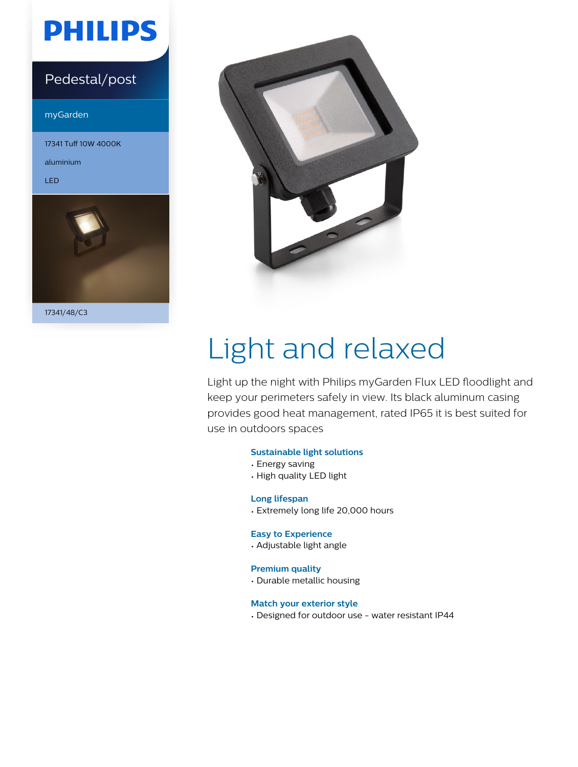# **PHILIPS**

### Pedestal/post

myGarden

17341 Tuff 10W 4000K

aluminium

LED



17341/48/C3



# Light and relaxed

Light up the night with Philips myGarden Flux LED floodlight and keep your perimeters safely in view. Its black aluminum casing provides good heat management, rated IP65 it is best suited for use in outdoors spaces

#### **Sustainable light solutions**

- Energy saving
- High quality LED light

#### **Long lifespan**

• Extremely long life 20,000 hours

#### **Easy to Experience**

• Adjustable light angle

#### **Premium quality**

• Durable metallic housing

#### **Match your exterior style**

• Designed for outdoor use - water resistant IP44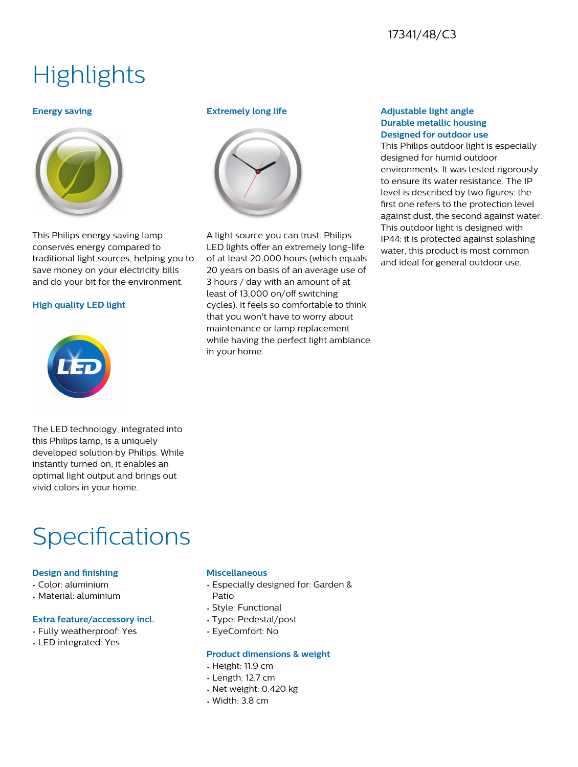### 17341/48/C3

## **Highlights**

#### **Energy saving**



This Philips energy saving lamp conserves energy compared to traditional light sources, helping you to save money on your electricity bills and do your bit for the environment.

#### **High quality LED light**



#### **Extremely long life**



A light source you can trust. Philips LED lights offer an extremely long-life of at least 20,000 hours (which equals 20 years on basis of an average use of 3 hours / day with an amount of at least of 13,000 on/off switching cycles). It feels so comfortable to think that you won't have to worry about maintenance or lamp replacement while having the perfect light ambiance in your home.

#### **Adjustable light angle Durable metallic housing Designed for outdoor use**

This Philips outdoor light is especially designed for humid outdoor environments. It was tested rigorously to ensure its water resistance. The IP level is described by two figures: the first one refers to the protection level against dust, the second against water. This outdoor light is designed with IP44: it is protected against splashing water, this product is most common and ideal for general outdoor use.

The LED technology, integrated into this Philips lamp, is a uniquely developed solution by Philips. While instantly turned on, it enables an optimal light output and brings out vivid colors in your home.

## **Specifications**

#### **Design and finishing**

- Color: aluminium
- Material: aluminium

#### **Extra feature/accessory incl.**

- Fully weatherproof: Yes
- LED integrated: Yes

#### **Miscellaneous**

- Especially designed for: Garden & Patio
- Style: Functional
- Type: Pedestal/post
- EyeComfort: No

#### **Product dimensions & weight**

- Height: 11.9 cm
- Length: 12.7 cm
- Net weight: 0.420 kg
- Width: 3.8 cm